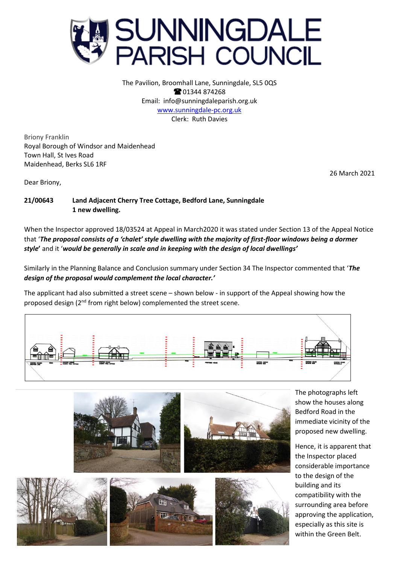

The Pavilion, Broomhall Lane, Sunningdale, SL5 0QS **@01344874268** Email: info@sunningdaleparish.org.uk [www.sunningdale-pc.org.uk](http://www.sunningdale-pc.org.uk/) Clerk: Ruth Davies

Briony Franklin Royal Borough of Windsor and Maidenhead Town Hall, St Ives Road Maidenhead, Berks SL6 1RF

26 March 2021

Dear Briony,

## **21/00643 Land Adjacent Cherry Tree Cottage, Bedford Lane, Sunningdale 1 new dwelling.**

When the Inspector approved 18/03524 at Appeal in March2020 it was stated under Section 13 of the Appeal Notice that '*The proposal consists of a 'chalet' style dwelling with the majority of first-floor windows being a dormer style***'** and it '*would be generally in scale and in keeping with the design of local dwellings'*

Similarly in the Planning Balance and Conclusion summary under Section 34 The Inspector commented that '*The design of the proposal would complement the local character.'*

The applicant had also submitted a street scene – shown below - in support of the Appeal showing how the proposed design (2<sup>nd</sup> from right below) complemented the street scene.







The photographs left show the houses along Bedford Road in the immediate vicinity of the proposed new dwelling.

Hence, it is apparent that the Inspector placed considerable importance to the design of the building and its compatibility with the surrounding area before approving the application, especially as this site is within the Green Belt.